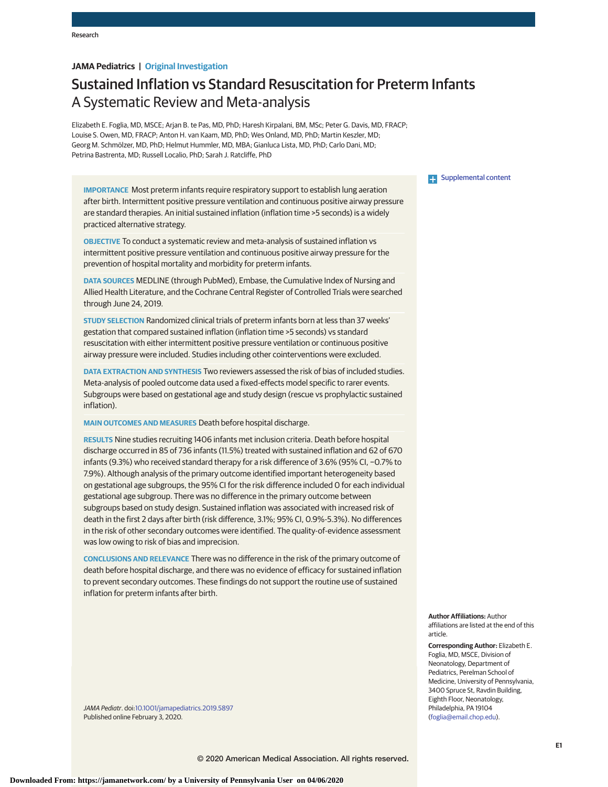# **JAMA Pediatrics | Original Investigation**

# Sustained Inflation vs Standard Resuscitation for Preterm Infants A Systematic Review and Meta-analysis

Elizabeth E. Foglia, MD, MSCE; Arjan B. te Pas, MD, PhD; Haresh Kirpalani, BM, MSc; Peter G. Davis, MD, FRACP; Louise S. Owen, MD, FRACP; Anton H. van Kaam, MD, PhD; Wes Onland, MD, PhD; Martin Keszler, MD; Georg M. Schmölzer, MD, PhD; Helmut Hummler, MD, MBA; Gianluca Lista, MD, PhD; Carlo Dani, MD; Petrina Bastrenta, MD; Russell Localio, PhD; Sarah J. Ratcliffe, PhD

**IMPORTANCE** Most preterm infants require respiratory support to establish lung aeration after birth. Intermittent positive pressure ventilation and continuous positive airway pressure are standard therapies. An initial sustained inflation (inflation time >5 seconds) is a widely practiced alternative strategy.

**OBJECTIVE** To conduct a systematic review and meta-analysis of sustained inflation vs intermittent positive pressure ventilation and continuous positive airway pressure for the prevention of hospital mortality and morbidity for preterm infants.

**DATA SOURCES** MEDLINE (through PubMed), Embase, the Cumulative Index of Nursing and Allied Health Literature, and the Cochrane Central Register of Controlled Trials were searched through June 24, 2019.

**STUDY SELECTION** Randomized clinical trials of preterm infants born at less than 37 weeks' gestation that compared sustained inflation (inflation time >5 seconds) vs standard resuscitation with either intermittent positive pressure ventilation or continuous positive airway pressure were included. Studies including other cointerventions were excluded.

**DATA EXTRACTION AND SYNTHESIS** Two reviewers assessed the risk of bias of included studies. Meta-analysis of pooled outcome data used a fixed-effects model specific to rarer events. Subgroups were based on gestational age and study design (rescue vs prophylactic sustained inflation).

**MAIN OUTCOMES AND MEASURES** Death before hospital discharge.

**RESULTS** Nine studies recruiting 1406 infants met inclusion criteria. Death before hospital discharge occurred in 85 of 736 infants (11.5%) treated with sustained inflation and 62 of 670 infants (9.3%) who received standard therapy for a risk difference of 3.6% (95% CI, −0.7% to 7.9%). Although analysis of the primary outcome identified important heterogeneity based on gestational age subgroups, the 95% CI for the risk difference included 0 for each individual gestational age subgroup. There was no difference in the primary outcome between subgroups based on study design. Sustained inflation was associated with increased risk of death in the first 2 days after birth (risk difference, 3.1%; 95% CI, 0.9%-5.3%). No differences in the risk of other secondary outcomes were identified. The quality-of-evidence assessment was low owing to risk of bias and imprecision.

**CONCLUSIONS AND RELEVANCE** There was no difference in the risk of the primary outcome of death before hospital discharge, and there was no evidence of efficacy for sustained inflation to prevent secondary outcomes. These findings do not support the routine use of sustained inflation for preterm infants after birth.

JAMA Pediatr. doi[:10.1001/jamapediatrics.2019.5897](https://jamanetwork.com/journals/jama/fullarticle/10.1001/jamapediatrics.2019.5897?utm_campaign=articlePDF%26utm_medium=articlePDFlink%26utm_source=articlePDF%26utm_content=jamapediatrics.2019.5897) Published online February 3, 2020.

#### **Examplemental content**

**Author Affiliations:** Author affiliations are listed at the end of this article.

**Corresponding Author:** Elizabeth E. Foglia, MD, MSCE, Division of Neonatology, Department of Pediatrics, Perelman School of Medicine, University of Pennsylvania, 3400 Spruce St, Ravdin Building, Eighth Floor, Neonatology, Philadelphia, PA 19104 [\(foglia@email.chop.edu\)](mailto:foglia@email.chop.edu).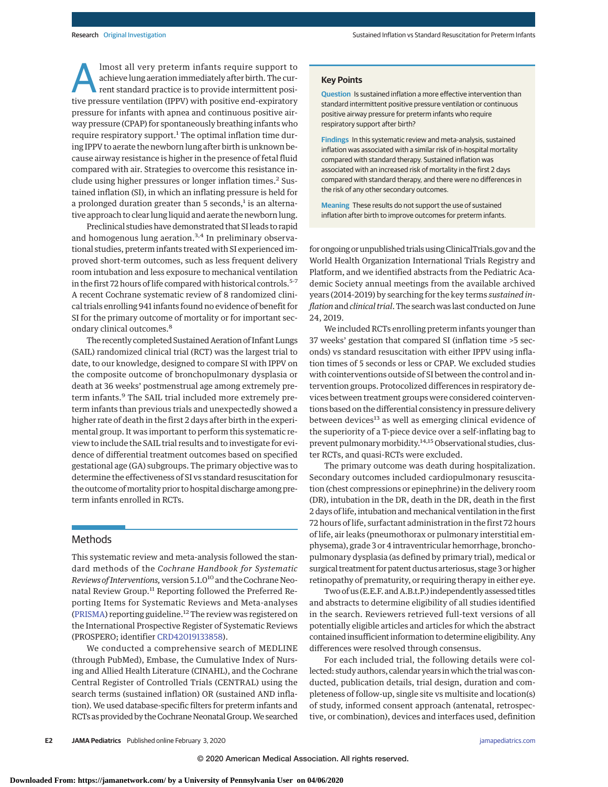Almost all very preterm infants require support to<br>
achieve lung aeration immediately after birth. The cur-<br>
rent standard practice is to provide intermittent posi-<br>
tive procesure ventilation (IPBV) with positive and expi achieve lung aeration immediately after birth. The curtive pressure ventilation (IPPV) with positive end-expiratory pressure for infants with apnea and continuous positive airway pressure (CPAP) for spontaneously breathing infants who require respiratory support. $1$  The optimal inflation time during IPPV to aerate the newborn lung after birth is unknown because airway resistance is higher in the presence of fetal fluid compared with air. Strategies to overcome this resistance include using higher pressures or longer inflation times.<sup>2</sup> Sustained inflation (SI), in which an inflating pressure is held for a prolonged duration greater than 5 seconds, $<sup>1</sup>$  is an alterna-</sup> tive approach to clear lung liquid and aerate the newborn lung.

Preclinical studies have demonstrated that SI leads to rapid and homogenous lung aeration.<sup>3,4</sup> In preliminary observational studies, preterm infants treated with SI experienced improved short-term outcomes, such as less frequent delivery room intubation and less exposure to mechanical ventilation in the first 72 hours of life compared with historical controls.<sup>5-7</sup> A recent Cochrane systematic review of 8 randomized clinical trials enrolling 941 infants found no evidence of benefit for SI for the primary outcome of mortality or for important secondary clinical outcomes.<sup>8</sup>

The recently completed Sustained Aeration of Infant Lungs (SAIL) randomized clinical trial (RCT) was the largest trial to date, to our knowledge, designed to compare SI with IPPV on the composite outcome of bronchopulmonary dysplasia or death at 36 weeks' postmenstrual age among extremely preterm infants.<sup>9</sup> The SAIL trial included more extremely preterm infants than previous trials and unexpectedly showed a higher rate of death in the first 2 days after birth in the experimental group. It was important to perform this systematic review to include the SAIL trial results and to investigate for evidence of differential treatment outcomes based on specified gestational age (GA) subgroups. The primary objective was to determine the effectiveness of SI vs standard resuscitation for the outcome of mortality prior to hospital discharge among preterm infants enrolled in RCTs.

## Methods

This systematic review and meta-analysis followed the standard methods of the *Cochrane Handbook for Systematic Reviews of Interventions,* version 5.1.010 and the Cochrane Neonatal Review Group.<sup>11</sup> Reporting followed the Preferred Reporting Items for Systematic Reviews and Meta-analyses [\(PRISMA\)](https://www.equator-network.org/reporting-guidelines/prisma/) reporting guideline.<sup>12</sup> The review was registered on the International Prospective Register of Systematic Reviews (PROSPERO; identifier [CRD42019133858\)](https://www.crd.york.ac.uk/PROSPERO/display_record.php?RecordID=133858).

We conducted a comprehensive search of MEDLINE (through PubMed), Embase, the Cumulative Index of Nursing and Allied Health Literature (CINAHL), and the Cochrane Central Register of Controlled Trials (CENTRAL) using the search terms (sustained inflation) OR (sustained AND inflation). We used database-specific filters for preterm infants and RCTs as provided by the Cochrane Neonatal Group.We searched

#### **Key Points**

**Question** Is sustained inflation a more effective intervention than standard intermittent positive pressure ventilation or continuous positive airway pressure for preterm infants who require respiratory support after birth?

**Findings** In this systematic review and meta-analysis, sustained inflation was associated with a similar risk of in-hospital mortality compared with standard therapy. Sustained inflation was associated with an increased risk of mortality in the first 2 days compared with standard therapy, and there were no differences in the risk of any other secondary outcomes.

**Meaning** These results do not support the use of sustained inflation after birth to improve outcomes for preterm infants.

for ongoing or unpublished trials using ClinicalTrials.gov and the World Health Organization International Trials Registry and Platform, and we identified abstracts from the Pediatric Academic Society annual meetings from the available archived years (2014-2019) by searching for the key terms *sustained inflation*and*clinical trial*. The search was last conducted on June 24, 2019.

We included RCTs enrolling preterm infants younger than 37 weeks' gestation that compared SI (inflation time >5 seconds) vs standard resuscitation with either IPPV using inflation times of 5 seconds or less or CPAP. We excluded studies with cointerventions outside of SI between the control and intervention groups. Protocolized differences in respiratory devices between treatment groups were considered cointerventions based on the differential consistency in pressure delivery between devices<sup>13</sup> as well as emerging clinical evidence of the superiority of a T-piece device over a self-inflating bag to prevent pulmonary morbidity.<sup>14,15</sup> Observational studies, cluster RCTs, and quasi-RCTs were excluded.

The primary outcome was death during hospitalization. Secondary outcomes included cardiopulmonary resuscitation (chest compressions or epinephrine) in the delivery room (DR), intubation in the DR, death in the DR, death in the first 2 days of life, intubation andmechanical ventilation in the first 72 hours of life, surfactant administration in the first 72 hours of life, air leaks (pneumothorax or pulmonary interstitial emphysema), grade 3 or 4 intraventricular hemorrhage, bronchopulmonary dysplasia (as defined by primary trial), medical or surgical treatment for patent ductus arteriosus, stage 3 or higher retinopathy of prematurity, or requiring therapy in either eye.

Two of us (E.E.F. and A.B.t.P.) independently assessed titles and abstracts to determine eligibility of all studies identified in the search. Reviewers retrieved full-text versions of all potentially eligible articles and articles for which the abstract contained insufficient information to determine eligibility. Any differences were resolved through consensus.

For each included trial, the following details were collected: study authors, calendar years in which the trial was conducted, publication details, trial design, duration and completeness of follow-up, single site vs multisite and location(s) of study, informed consent approach (antenatal, retrospective, or combination), devices and interfaces used, definition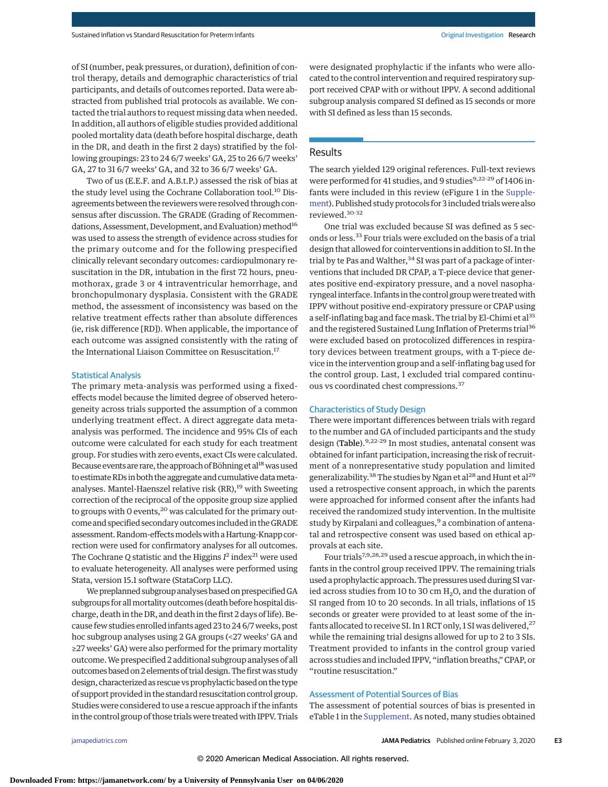of SI (number, peak pressures, or duration), definition of control therapy, details and demographic characteristics of trial participants, and details of outcomes reported. Data were abstracted from published trial protocols as available. We contacted the trial authors to request missing data when needed. In addition, all authors of eligible studies provided additional pooled mortality data (death before hospital discharge, death in the DR, and death in the first 2 days) stratified by the following groupings: 23 to 24 6/7 weeks' GA, 25 to 26 6/7 weeks' GA, 27 to 31 6/7 weeks' GA, and 32 to 36 6/7 weeks' GA.

Two of us (E.E.F. and A.B.t.P.) assessed the risk of bias at the study level using the Cochrane Collaboration tool.<sup>10</sup> Disagreements between the reviewers were resolved through consensus after discussion. The GRADE (Grading of Recommendations, Assessment, Development, and Evaluation) method<sup>16</sup> was used to assess the strength of evidence across studies for the primary outcome and for the following prespecified clinically relevant secondary outcomes: cardiopulmonary resuscitation in the DR, intubation in the first 72 hours, pneumothorax, grade 3 or 4 intraventricular hemorrhage, and bronchopulmonary dysplasia. Consistent with the GRADE method, the assessment of inconsistency was based on the relative treatment effects rather than absolute differences (ie, risk difference [RD]). When applicable, the importance of each outcome was assigned consistently with the rating of the International Liaison Committee on Resuscitation.<sup>17</sup>

### Statistical Analysis

The primary meta-analysis was performed using a fixedeffects model because the limited degree of observed heterogeneity across trials supported the assumption of a common underlying treatment effect. A direct aggregate data metaanalysis was performed. The incidence and 95% CIs of each outcome were calculated for each study for each treatment group. For studies with zero events, exact CIs were calculated. Because events are rare, the approach of Böhning et al<sup>18</sup> was used to estimate RDs in both the aggregate and cumulative data metaanalyses. Mantel-Haenszel relative risk  $(RR)$ ,<sup>19</sup> with Sweeting correction of the reciprocal of the opposite group size applied to groups with 0 events,  $20$  was calculated for the primary outcome and specified secondary outcomes included in the GRADE assessment. Random-effects models with a Hartung-Knapp correction were used for confirmatory analyses for all outcomes. The Cochrane Q statistic and the Higgins  $I^2$  index<sup>21</sup> were used to evaluate heterogeneity. All analyses were performed using Stata, version 15.1 software (StataCorp LLC).

We preplanned subgroup analyses based on prespecified GA subgroups for allmortality outcomes (death before hospital discharge, death in the DR, and death in the first 2 days of life). Because few studies enrolled infants aged 23 to 24 6/7 weeks, post hoc subgroup analyses using 2 GA groups (<27 weeks' GA and ≥27 weeks' GA) were also performed for the primary mortality outcome.We prespecified 2 additional subgroup analyses of all outcomes based on 2 elements of trial design. The first was study design, characterized as rescue vs prophylactic based on the type of support provided in the standard resuscitation control group. Studies were considered to use a rescue approach if the infants in the control group of those trials were treated with IPPV. Trials were designated prophylactic if the infants who were allocated to the control intervention and required respiratory support received CPAP with or without IPPV. A second additional subgroup analysis compared SI defined as 15 seconds or more with SI defined as less than 15 seconds.

### **Results**

The search yielded 129 original references. Full-text reviews were performed for 41 studies, and 9 studies<sup>9,22-29</sup> of 1406 infants were included in this review (eFigure 1 in the [Supple](https://jamanetwork.com/journals/jama/fullarticle/10.1001/jamapediatrics.2019.5897?utm_campaign=articlePDF%26utm_medium=articlePDFlink%26utm_source=articlePDF%26utm_content=jamapediatrics.2019.5897)[ment\)](https://jamanetwork.com/journals/jama/fullarticle/10.1001/jamapediatrics.2019.5897?utm_campaign=articlePDF%26utm_medium=articlePDFlink%26utm_source=articlePDF%26utm_content=jamapediatrics.2019.5897). Published study protocols for 3 included trials were also reviewed.30-32

One trial was excluded because SI was defined as 5 seconds or less.<sup>33</sup> Four trials were excluded on the basis of a trial design that allowed for cointerventions in addition to SI. In the trial by te Pas and Walther,  $34$  SI was part of a package of interventions that included DR CPAP, a T-piece device that generates positive end-expiratory pressure, and a novel nasopharyngeal interface. Infants in the control group were treated with IPPV without positive end-expiratory pressure or CPAP using a self-inflating bag and face mask. The trial by El-Chimi et al<sup>35</sup> and the registered Sustained Lung Inflation of Preterms trial<sup>36</sup> were excluded based on protocolized differences in respiratory devices between treatment groups, with a T-piece device in the intervention group and a self-inflating bag used for the control group. Last, 1 excluded trial compared continuous vs coordinated chest compressions.<sup>37</sup>

### Characteristics of Study Design

There were important differences between trials with regard to the number and GA of included participants and the study design (Table).<sup>9,22-29</sup> In most studies, antenatal consent was obtained for infant participation, increasing the risk of recruitment of a nonrepresentative study population and limited generalizability.<sup>38</sup> The studies by Ngan et al<sup>28</sup> and Hunt et al<sup>29</sup> used a retrospective consent approach, in which the parents were approached for informed consent after the infants had received the randomized study intervention. In the multisite study by Kirpalani and colleagues,<sup>9</sup> a combination of antenatal and retrospective consent was used based on ethical approvals at each site.

Four trials<sup>7,9,28,29</sup> used a rescue approach, in which the infants in the control group received IPPV. The remaining trials used a prophylactic approach. The pressures used during SI varied across studies from 10 to 30 cm  $H_2O$ , and the duration of SI ranged from 10 to 20 seconds. In all trials, inflations of 15 seconds or greater were provided to at least some of the infants allocated to receive SI. In 1 RCT only, 1 SI was delivered,  $27$ while the remaining trial designs allowed for up to 2 to 3 SIs. Treatment provided to infants in the control group varied across studies and included IPPV, "inflation breaths," CPAP, or "routine resuscitation."

### Assessment of Potential Sources of Bias

The assessment of potential sources of bias is presented in eTable 1 in the [Supplement.](https://jamanetwork.com/journals/jama/fullarticle/10.1001/jamapediatrics.2019.5897?utm_campaign=articlePDF%26utm_medium=articlePDFlink%26utm_source=articlePDF%26utm_content=jamapediatrics.2019.5897) As noted, many studies obtained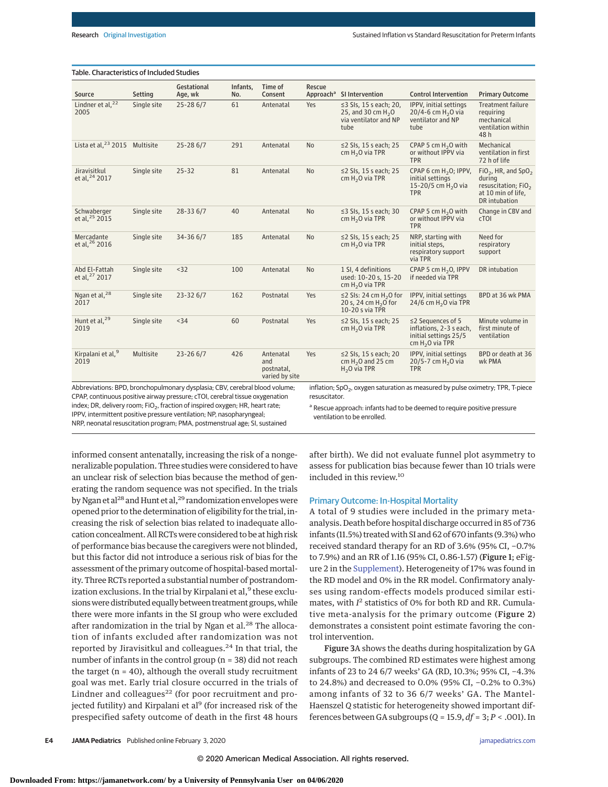# Table. Characteristics of Included Studies

| Source                                                                                                                                                             | Setting     | Gestational<br>Age, wk | Infants,<br>No. | Time of<br>Consent                               | Rescue                                                                                                             | Approach <sup>a</sup> SI Intervention                                                           | <b>Control Intervention</b>                                                                      | <b>Primary Outcome</b>                                                                                      |  |  |  |
|--------------------------------------------------------------------------------------------------------------------------------------------------------------------|-------------|------------------------|-----------------|--------------------------------------------------|--------------------------------------------------------------------------------------------------------------------|-------------------------------------------------------------------------------------------------|--------------------------------------------------------------------------------------------------|-------------------------------------------------------------------------------------------------------------|--|--|--|
| Lindner et al, <sup>22</sup><br>2005                                                                                                                               | Single site | $25 - 286/7$           | 61              | Antenatal                                        | Yes                                                                                                                | $\leq$ 3 SIs, 15 s each; 20,<br>25, and 30 cm H <sub>2</sub> O<br>via ventilator and NP<br>tube | IPPV, initial settings<br>20/4-6 cm $H_2O$ via<br>ventilator and NP<br>tube                      | <b>Treatment failure</b><br>requiring<br>mechanical<br>ventilation within<br>48 h                           |  |  |  |
| Lista et al, <sup>23</sup> 2015 Multisite                                                                                                                          |             | $25 - 286/7$           | 291             | Antenatal                                        | <b>No</b>                                                                                                          | $\leq$ 2 SIs, 15 s each; 25<br>cm $H_2O$ via TPR                                                | CPAP 5 cm $H_2O$ with<br>or without IPPV via<br><b>TPR</b>                                       | Mechanical<br>ventilation in first<br>72 h of life                                                          |  |  |  |
| Jiravisitkul<br>et al, <sup>24</sup> 2017                                                                                                                          | Single site | $25 - 32$              | 81              | Antenatal                                        | <b>No</b>                                                                                                          | $\leq$ 2 SIs, 15 s each; 25<br>cm $H_2O$ via TPR                                                | CPAP 6 cm $H_2O$ ; IPPV,<br>initial settings<br>15-20/5 cm H <sub>2</sub> O via<br><b>TPR</b>    | $FiO2$ , HR, and SpO <sub>2</sub><br>during<br>resuscitation; $FiO2$<br>at 10 min of life,<br>DR intubation |  |  |  |
| Schwaberger<br>et al, <sup>25</sup> 2015                                                                                                                           | Single site | $28 - 336/7$           | 40              | Antenatal                                        | <b>No</b>                                                                                                          | $\leq$ 3 SIs, 15 s each; 30<br>cm $H_2O$ via TPR                                                | CPAP 5 cm $H_2O$ with<br>or without IPPV via<br><b>TPR</b>                                       | Change in CBV and<br>c <sub>TOI</sub>                                                                       |  |  |  |
| Mercadante<br>et al, 26 2016                                                                                                                                       | Single site | 34-36 6/7              | 185             | Antenatal                                        | <b>No</b>                                                                                                          | $\leq$ 2 SIs, 15 s each; 25<br>cm $H_2O$ via TPR                                                | NRP, starting with<br>initial steps,<br>respiratory support<br>via TPR                           | Need for<br>respiratory<br>support                                                                          |  |  |  |
| Abd El-Fattah<br>et al, <sup>27</sup> 2017                                                                                                                         | Single site | $32$                   | 100             | Antenatal                                        | <b>No</b>                                                                                                          | 1 SI. 4 definitions<br>used: 10-20 s, 15-20<br>cm $H_2O$ via TPR                                | CPAP 5 cm H <sub>2</sub> O, IPPV<br>if needed via TPR                                            | DR intubation                                                                                               |  |  |  |
| Ngan et al, <sup>28</sup><br>2017                                                                                                                                  | Single site | $23 - 326/7$           | 162             | Postnatal                                        | Yes                                                                                                                | $\leq$ 2 SIs: 24 cm H <sub>2</sub> O for<br>20 s, 24 cm H <sub>2</sub> O for<br>10-20 s via TPR | IPPV, initial settings<br>24/6 cm H <sub>2</sub> O via TPR                                       | BPD at 36 wk PMA                                                                                            |  |  |  |
| Hunt et al, <sup>29</sup><br>2019                                                                                                                                  | Single site | < 34                   | 60              | Postnatal                                        | Yes                                                                                                                | $\leq$ 2 SIs, 15 s each; 25<br>cm $H_2O$ via TPR                                                | $\leq$ 2 Sequences of 5<br>inflations, 2-3 s each,<br>initial settings 25/5<br>cm $H_2O$ via TPR | Minute volume in<br>first minute of<br>ventilation                                                          |  |  |  |
| Kirpalani et al, 9<br>2019                                                                                                                                         | Multisite   | $23 - 266/7$           | 426             | Antenatal<br>and<br>postnatal,<br>varied by site | Yes                                                                                                                | ≤2 Sls, 15 s each; 20<br>cm $H2O$ and 25 cm<br>$H2O$ via TPR                                    | IPPV, initial settings<br>20/5-7 cm H <sub>2</sub> O via<br><b>TPR</b>                           | BPD or death at 36<br>wk PMA                                                                                |  |  |  |
| Abbreviations: BPD, bronchopulmonary dysplasia; CBV, cerebral blood volume;                                                                                        |             |                        |                 |                                                  |                                                                                                                    |                                                                                                 | inflation; SpO <sub>2</sub> , oxygen saturation as measured by pulse oximetry; TPR, T-piece      |                                                                                                             |  |  |  |
| CPAP, continuous positive airway pressure; cTOI, cerebral tissue oxygenation                                                                                       |             |                        |                 | resuscitator.                                    |                                                                                                                    |                                                                                                 |                                                                                                  |                                                                                                             |  |  |  |
| index; DR, delivery room; FiO <sub>2</sub> , fraction of inspired oxygen; HR, heart rate;<br>IPPV, intermittent positive pressure ventilation; NP, nasopharyngeal; |             |                        |                 |                                                  | <sup>a</sup> Rescue approach: infants had to be deemed to require positive pressure<br>ventilation to be enrolled. |                                                                                                 |                                                                                                  |                                                                                                             |  |  |  |

NRP, neonatal resuscitation program; PMA, postmenstrual age; SI, sustained

informed consent antenatally, increasing the risk of a nongeneralizable population. Three studies were considered to have an unclear risk of selection bias because the method of generating the random sequence was not specified. In the trials by Ngan et al<sup>28</sup> and Hunt et al,  $^{29}$  randomization envelopes were opened prior to the determination of eligibility for the trial, increasing the risk of selection bias related to inadequate allocation concealment. All RCTs were considered to be at high risk of performance bias because the caregivers were not blinded, but this factor did not introduce a serious risk of bias for the assessment of the primary outcome of hospital-based mortality. Three RCTs reported a substantial number of postrandomization exclusions. In the trial by Kirpalani et al,<sup>9</sup> these exclusions were distributed equally between treatment groups, while there were more infants in the SI group who were excluded after randomization in the trial by Ngan et al.<sup>28</sup> The allocation of infants excluded after randomization was not reported by Jiravisitkul and colleagues.<sup>24</sup> In that trial, the number of infants in the control group (n = 38) did not reach the target ( $n = 40$ ), although the overall study recruitment goal was met. Early trial closure occurred in the trials of Lindner and colleagues $^{22}$  (for poor recruitment and projected futility) and Kirpalani et al<sup>9</sup> (for increased risk of the prespecified safety outcome of death in the first 48 hours

after birth). We did not evaluate funnel plot asymmetry to assess for publication bias because fewer than 10 trials were included in this review.<sup>10</sup>

#### Primary Outcome: In-Hospital Mortality

A total of 9 studies were included in the primary metaanalysis. Death before hospital discharge occurred in 85 of 736 infants (11.5%) treated with SI and 62 of 670 infants (9.3%) who received standard therapy for an RD of 3.6% (95% CI, −0.7% to 7.9%) and an RR of 1.16 (95% CI, 0.86-1.57) (Figure 1; eFigure 2 in the [Supplement\)](https://jamanetwork.com/journals/jama/fullarticle/10.1001/jamapediatrics.2019.5897?utm_campaign=articlePDF%26utm_medium=articlePDFlink%26utm_source=articlePDF%26utm_content=jamapediatrics.2019.5897). Heterogeneity of 17% was found in the RD model and 0% in the RR model. Confirmatory analyses using random-effects models produced similar estimates, with *I* <sup>2</sup> statistics of 0% for both RD and RR. Cumulative meta-analysis for the primary outcome (Figure 2) demonstrates a consistent point estimate favoring the control intervention.

Figure 3A shows the deaths during hospitalization by GA subgroups. The combined RD estimates were highest among infants of 23 to 24 6/7 weeks' GA (RD, 10.3%; 95% CI, −4.3% to 24.8%) and decreased to 0.0% (95% CI, −0.2% to 0.3%) among infants of 32 to 36 6/7 weeks' GA. The Mantel-Haenszel *Q* statistic for heterogeneity showed important differences between GA subgroups (*Q* = 15.9, *df* = 3; *P* < .001). In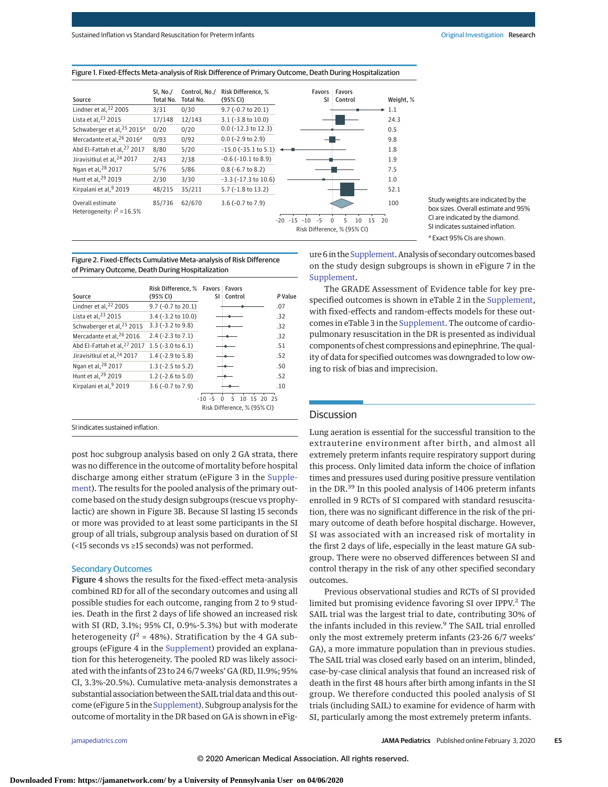Study weights are indicated by the box sizes. Overall estimate and 95% CI are indicated by the diamond. SI indicates sustained inflation.

| Source                                            | <b>SI, No./</b><br>Total No. | Control, No./<br>Total No. | <b>Risk Difference. %</b><br>(95% CI) |                             | <b>Favors Favors</b><br>SI Control | Weight, % |
|---------------------------------------------------|------------------------------|----------------------------|---------------------------------------|-----------------------------|------------------------------------|-----------|
| Lindner et al, $22$ 2005                          | 3/31                         | 0/30                       | $9.7$ (-0.7 to 20.1)                  |                             |                                    | 1.1       |
| Lista et al, <sup>23</sup> 2015                   | 17/148                       | 12/143                     | $3.1$ ( $-3.8$ to $10.0$ )            |                             |                                    | 24.3      |
| Schwaberger et al, 25 2015 <sup>a</sup>           | 0/20                         | 0/20                       | $0.0$ (-12.3 to 12.3)                 |                             |                                    | 0.5       |
| Mercadante et al, <sup>26</sup> 2016 <sup>a</sup> | 0/93                         | 0/92                       | $0.0$ (-2.9 to 2.9)                   |                             |                                    | 9.8       |
| Abd El-Fattah et al, 27 2017                      | 8/80                         | 5/20                       | $-15.0$ ( $-35.1$ to $5.1$ )          |                             |                                    | 1.8       |
| Jiravisitkul et al, <sup>24</sup> 2017            | 2/43                         | 2/38                       | $-0.6$ ( $-10.1$ to 8.9)              |                             |                                    | 1.9       |
| Ngan et al, <sup>28</sup> 2017                    | 5/76                         | 5/86                       | $0.8$ (-6.7 to 8.2)                   |                             |                                    | 7.5       |
| Hunt et al, <sup>29</sup> 2019                    | 2/30                         | 3/30                       | $-3.3$ ( $-17.3$ to $10.6$ )          |                             |                                    | 1.0       |
| Kirpalani et al, 9 2019                           | 48/215                       | 35/211                     | $5.7$ ( $-1.8$ to $13.2$ )            |                             |                                    | 52.1      |
| Overall estimate<br>Heterogeneity: $l^2 = 16.5\%$ | 85/736                       | 62/670                     | $3.6$ (-0.7 to 7.9)                   |                             |                                    | 100       |
|                                                   |                              |                            |                                       | $-20 - 15$<br>$-10$<br>$-5$ | 5<br>10<br>15<br>$\cap$            | 20        |
|                                                   |                              |                            |                                       |                             | Risk Difference, % (95% CI)        |           |

Figure 1. Fixed-Effects Meta-analysis of Risk Difference of Primary Outcome, Death During Hospitalization

Figure 2. Fixed-Effects Cumulative Meta-analysis of Risk Difference of Primary Outcome, Death During Hospitalization

|                                         | Risk Difference, % Favors Favors |                             |              |
|-----------------------------------------|----------------------------------|-----------------------------|--------------|
| Source                                  | (95% CI)                         | SI Control                  | P Value      |
| Lindner et al, <sup>22</sup> 2005       | 9.7 (-0.7 to 20.1)               |                             | .07          |
| Lista et al, <sup>23</sup> 2015         | 3.4 (-3.2 to 10.0)               |                             | .32          |
| Schwaberger et al. <sup>25</sup> 2015   | $3.3$ ( $-3.2$ to $9.8$ )        |                             | .32          |
| Mercadante et al, 26 2016               | $2.4$ (-2.3 to 7.1)              |                             | .32          |
| Abd El-Fattah et al. <sup>27</sup> 2017 | $1.5$ (-3.0 to 6.1)              |                             | .51          |
| Jiravisitkul et al. <sup>24</sup> 2017  | $1.4$ (-2.9 to 5.8)              |                             | .52          |
| Ngan et al, <sup>28</sup> 2017          | $1.3$ (-2.5 to 5.2)              |                             | .50          |
| Hunt et al, <sup>29</sup> 2019          | $1.2$ (-2.6 to 5.0)              |                             | .52          |
| Kirpalani et al, 9 2019                 | $3.6$ (-0.7 to 7.9)              |                             | .10          |
|                                         |                                  | $-10 - 5$<br>5<br>10        | -15<br>20.25 |
|                                         |                                  | Risk Difference, % (95% CI) |              |

SI indicates sustained inflation.

post hoc subgroup analysis based on only 2 GA strata, there was no difference in the outcome of mortality before hospital discharge among either stratum (eFigure 3 in the [Supple](https://jamanetwork.com/journals/jama/fullarticle/10.1001/jamapediatrics.2019.5897?utm_campaign=articlePDF%26utm_medium=articlePDFlink%26utm_source=articlePDF%26utm_content=jamapediatrics.2019.5897)[ment\)](https://jamanetwork.com/journals/jama/fullarticle/10.1001/jamapediatrics.2019.5897?utm_campaign=articlePDF%26utm_medium=articlePDFlink%26utm_source=articlePDF%26utm_content=jamapediatrics.2019.5897). The results for the pooled analysis of the primary outcome based on the study design subgroups (rescue vs prophylactic) are shown in Figure 3B. Because SI lasting 15 seconds or more was provided to at least some participants in the SI group of all trials, subgroup analysis based on duration of SI (<15 seconds vs ≥15 seconds) was not performed.

### Secondary Outcomes

Figure 4 shows the results for the fixed-effect meta-analysis combined RD for all of the secondary outcomes and using all possible studies for each outcome, ranging from 2 to 9 studies. Death in the first 2 days of life showed an increased risk with SI (RD, 3.1%; 95% CI, 0.9%-5.3%) but with moderate heterogeneity ( $I^2$  = 48%). Stratification by the 4 GA subgroups (eFigure 4 in the [Supplement\)](https://jamanetwork.com/journals/jama/fullarticle/10.1001/jamapediatrics.2019.5897?utm_campaign=articlePDF%26utm_medium=articlePDFlink%26utm_source=articlePDF%26utm_content=jamapediatrics.2019.5897) provided an explanation for this heterogeneity. The pooled RD was likely associated with the infants of 23 to 24 6/7 weeks' GA (RD, 11.9%; 95% CI, 3.3%-20.5%). Cumulative meta-analysis demonstrates a substantial association between the SAIL trial data and this outcome (eFigure 5 in the [Supplement\)](https://jamanetwork.com/journals/jama/fullarticle/10.1001/jamapediatrics.2019.5897?utm_campaign=articlePDF%26utm_medium=articlePDFlink%26utm_source=articlePDF%26utm_content=jamapediatrics.2019.5897). Subgroup analysis for the outcome of mortality in the DR based on GA is shown in eFigure 6 in the [Supplement.](https://jamanetwork.com/journals/jama/fullarticle/10.1001/jamapediatrics.2019.5897?utm_campaign=articlePDF%26utm_medium=articlePDFlink%26utm_source=articlePDF%26utm_content=jamapediatrics.2019.5897) Analysis of secondary outcomes based on the study design subgroups is shown in eFigure 7 in the [Supplement.](https://jamanetwork.com/journals/jama/fullarticle/10.1001/jamapediatrics.2019.5897?utm_campaign=articlePDF%26utm_medium=articlePDFlink%26utm_source=articlePDF%26utm_content=jamapediatrics.2019.5897) <sup>a</sup> Exact 95% CIs are shown.

The GRADE Assessment of Evidence table for key prespecified outcomes is shown in eTable 2 in the [Supplement,](https://jamanetwork.com/journals/jama/fullarticle/10.1001/jamapediatrics.2019.5897?utm_campaign=articlePDF%26utm_medium=articlePDFlink%26utm_source=articlePDF%26utm_content=jamapediatrics.2019.5897) with fixed-effects and random-effects models for these outcomes in eTable 3 in the [Supplement.](https://jamanetwork.com/journals/jama/fullarticle/10.1001/jamapediatrics.2019.5897?utm_campaign=articlePDF%26utm_medium=articlePDFlink%26utm_source=articlePDF%26utm_content=jamapediatrics.2019.5897) The outcome of cardiopulmonary resuscitation in the DR is presented as individual components of chest compressions and epinephrine. The quality of data for specified outcomes was downgraded to low owing to risk of bias and imprecision.

### Discussion

Lung aeration is essential for the successful transition to the extrauterine environment after birth, and almost all extremely preterm infants require respiratory support during this process. Only limited data inform the choice of inflation times and pressures used during positive pressure ventilation in the DR.<sup>39</sup> In this pooled analysis of 1406 preterm infants enrolled in 9 RCTs of SI compared with standard resuscitation, there was no significant difference in the risk of the primary outcome of death before hospital discharge. However, SI was associated with an increased risk of mortality in the first 2 days of life, especially in the least mature GA subgroup. There were no observed differences between SI and control therapy in the risk of any other specified secondary outcomes.

Previous observational studies and RCTs of SI provided limited but promising evidence favoring SI over IPPV.<sup>2</sup> The SAIL trial was the largest trial to date, contributing 30% of the infants included in this review.<sup>9</sup> The SAIL trial enrolled only the most extremely preterm infants (23-26 6/7 weeks' GA), a more immature population than in previous studies. The SAIL trial was closed early based on an interim, blinded, case-by-case clinical analysis that found an increased risk of death in the first 48 hours after birth among infants in the SI group. We therefore conducted this pooled analysis of SI trials (including SAIL) to examine for evidence of harm with SI, particularly among the most extremely preterm infants.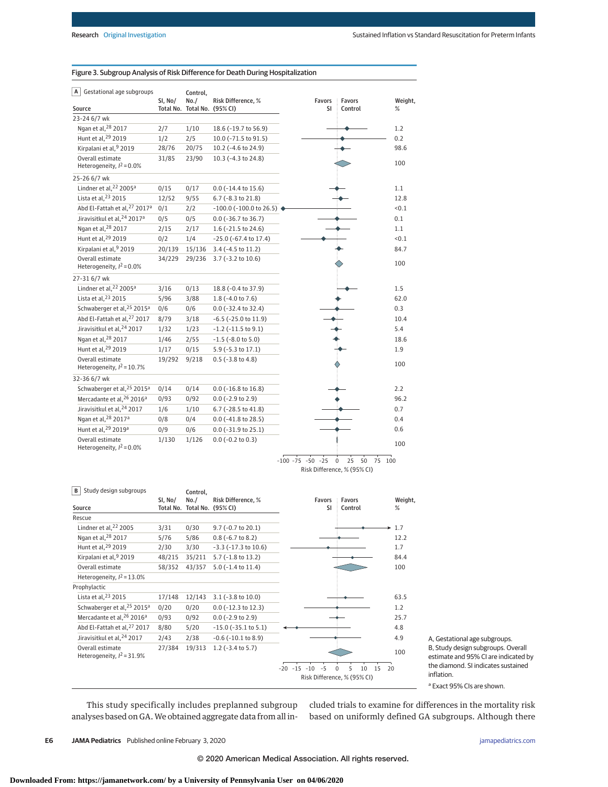| Gestational age subgroups<br>A                   | SI, No/ | Control,<br>No./             | Risk Difference, %           | Favors                | Favors                                                         | Weight, |
|--------------------------------------------------|---------|------------------------------|------------------------------|-----------------------|----------------------------------------------------------------|---------|
| Source                                           |         | Total No. Total No. (95% CI) |                              | SI                    | Control                                                        | %       |
| 23-24 6/7 wk                                     |         |                              |                              |                       |                                                                |         |
| Ngan et al, 28 2017                              | 2/7     | 1/10                         | 18.6 (-19.7 to 56.9)         |                       |                                                                | 1.2     |
| Hunt et al, 29 2019                              | 1/2     | 2/5                          | 10.0 (-71.5 to 91.5)         |                       |                                                                | 0.2     |
| Kirpalani et al, 9 2019                          | 28/76   | 20/75                        | 10.2 (-4.6 to 24.9)          |                       |                                                                | 98.6    |
| Overall estimate<br>Heterogeneity, $I^2 = 0.0\%$ | 31/85   | 23/90                        | 10.3 (-4.3 to 24.8)          |                       |                                                                | 100     |
| 25-26 6/7 wk                                     |         |                              |                              |                       |                                                                |         |
| Lindner et al, 22 2005 <sup>a</sup>              | 0/15    | 0/17                         | $0.0$ (-14.4 to 15.6)        |                       |                                                                | 1.1     |
| Lista et al, 23 2015                             | 12/52   | 9/55                         | 6.7 (-8.3 to 21.8)           |                       |                                                                | 12.8    |
| Abd El-Fattah et al, 27 2017 <sup>a</sup>        | 0/1     | 2/2                          | $-100.0$ ( $-100.0$ to 26.5) |                       |                                                                | < 0.1   |
| Jiravisitkul et al, 24 2017 <sup>a</sup>         | 0/5     | 0/5                          | $0.0$ ( $-36.7$ to $36.7$ )  |                       |                                                                | 0.1     |
| Ngan et al, 28 2017                              | 2/15    | 2/17                         | 1.6 (-21.5 to 24.6)          |                       |                                                                | 1.1     |
| Hunt et al, 29 2019                              | 0/2     | 1/4                          | $-25.0$ ( $-67.4$ to 17.4)   |                       |                                                                | < 0.1   |
| Kirpalani et al, 9 2019                          | 20/139  | 15/136                       | $3.4$ (-4.5 to 11.2)         |                       |                                                                | 84.7    |
| Overall estimate<br>Heterogeneity, $I^2 = 0.0\%$ | 34/229  | 29/236                       | $3.7$ (-3.2 to 10.6)         |                       |                                                                | 100     |
| 27-31 6/7 wk                                     |         |                              |                              |                       |                                                                |         |
| Lindner et al, 22 2005 <sup>a</sup>              | 3/16    | 0/13                         | 18.8 (-0.4 to 37.9)          |                       |                                                                | 1.5     |
| Lista et al, 23 2015                             | 5/96    | 3/88                         | 1.8 (-4.0 to 7.6)            |                       |                                                                | 62.0    |
| Schwaberger et al, 25 2015 <sup>a</sup>          | 0/6     | 0/6                          | $0.0$ (-32.4 to 32.4)        |                       |                                                                | 0.3     |
| Abd El-Fattah et al, 27 2017                     | 8/79    | 3/18                         | $-6.5$ ( $-25.0$ to $11.9$ ) |                       |                                                                | 10.4    |
| Jiravisitkul et al, 24 2017                      | 1/32    | 1/23                         | $-1.2$ ( $-11.5$ to $9.1$ )  |                       |                                                                | 5.4     |
| Ngan et al, <sup>28</sup> 2017                   | 1/46    | 2/55                         | $-1.5$ ( $-8.0$ to $5.0$ )   |                       |                                                                | 18.6    |
| Hunt et al, <sup>29</sup> 2019                   | 1/17    | 0/15                         | 5.9 (-5.3 to 17.1)           |                       |                                                                | 1.9     |
| Overall estimate<br>Heterogeneity, $l^2$ = 10.7% | 19/292  | 9/218                        | $0.5$ ( $-3.8$ to $4.8$ )    |                       |                                                                | 100     |
| 32-36 6/7 wk                                     |         |                              |                              |                       |                                                                |         |
| Schwaberger et al, 25 2015 <sup>a</sup>          | 0/14    | 0/14                         | $0.0$ ( $-16.8$ to $16.8$ )  |                       |                                                                | 2.2     |
| Mercadante et al, 26 2016 <sup>a</sup>           | 0/93    | 0/92                         | $0.0$ (-2.9 to 2.9)          |                       |                                                                | 96.2    |
| Jiravisitkul et al, 24 2017                      | 1/6     | 1/10                         | 6.7 (-28.5 to 41.8)          |                       |                                                                | 0.7     |
| Ngan et al, 28 2017 <sup>a</sup>                 | 0/8     | 0/4                          | $0.0$ (-41.8 to 28.5)        |                       |                                                                | 0.4     |
| Hunt et al, 29 2019a                             | 0/9     | 0/6                          | $0.0$ (-31.9 to 25.1)        |                       |                                                                | 0.6     |
| Overall estimate<br>Heterogeneity, $I^2 = 0.0\%$ | 1/130   | 1/126                        | $0.0$ (-0.2 to 0.3)          |                       |                                                                | 100     |
|                                                  |         |                              |                              | $-100 - 75 - 50 - 25$ | 25<br>$\pmb{0}$<br>50<br>75 100<br>Risk Difference, % (95% CI) |         |

### Figure 3. Subgroup Analysis of Risk Difference for Death During Hospitalization

–20 –15 –10 –5 0 5 10 15 20 Risk Difference, % (95% CI) Source Rescue Lindner et al, <sup>22</sup> 2005 Ngan et al,28 2017 Hunt et al, <sup>29</sup> 2019 Kirpalani et al,9 2019 Overall estimate Heterogeneity,  $l^2$  = 13.0% Prophylactic Lista et al, <sup>23</sup> 2015 Schwaberger et al, 25 2015<sup>a</sup> Mercadante et al, 26 2016<sup>a</sup> Abd El-Fattah et al,27 2017 Jiravisitkul et al, 24 2017 Overall estimate Heterogeneity,  $l^2$  = 31.9% Risk Difference, % Total No. Total No. (95% CI) 9.7 (–0.7 to 20.1) 0.8 (–6.7 to 8.2) –3.3 (–17.3 to 10.6) 5.7 (–1.8 to 13.2) 35/211 5.0 (–1.4 to 11.4) 3.1 (–3.8 to 10.0) 17/148 12/143 0.0 (–12.3 to 12.3) 0.0 (–2.9 to 2.9) –15.0 (–35.1 to 5.1) –0.6 (–10.1 to 8.9) 1.2 (–3.4 to 5.7) 27/384 19/313 SI, No/ 3/31 5/76 2/30 0/20 0/93 8/80 2/43 48/215 Weight, % 1.7 12.2 1.7 84.4 100 63.5 1.2 25.7 4.8 4.9 100 Favors Control Favors SI **B** Study design subgroups Control, No./ 0/30 5/86 3/30 58/352 43/357 0/20 0/92 5/20 2/38

A, Gestational age subgroups. B, Study design subgroups. Overall estimate and 95% CI are indicated by the diamond. SI indicates sustained inflation.

<sup>a</sup> Exact 95% CIs are shown.

This study specifically includes preplanned subgroup analyses based on GA. We obtained aggregate data from all included trials to examine for differences in the mortality risk based on uniformly defined GA subgroups. Although there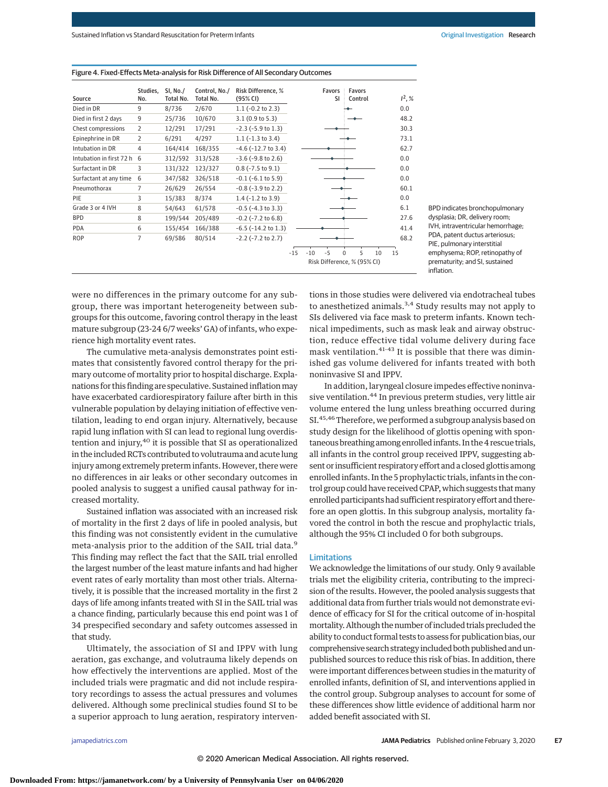|                            | Studies,       | SI, No./<br>Total No. | Control, No./<br>Total No. | Risk Difference, %        |                             |       | Favors | SI | <b>Favors</b><br>Control |    | $1^2, %$ |
|----------------------------|----------------|-----------------------|----------------------------|---------------------------|-----------------------------|-------|--------|----|--------------------------|----|----------|
| Source                     | No.            |                       |                            | (95% CI)                  |                             |       |        |    |                          |    |          |
| Died in DR                 | 9              | 8/736                 | 2/670                      | $1.1$ (-0.2 to 2.3)       |                             |       |        |    |                          |    | 0.0      |
| Died in first 2 days       | 9              | 25/736                | 10/670                     | 3.1(0.9 to 5.3)           |                             |       |        |    |                          |    | 48.2     |
| Chest compressions         | $\overline{2}$ | 12/291                | 17/291                     | $-2.3$ ( $-5.9$ to 1.3)   |                             |       |        |    |                          |    | 30.3     |
| Epinephrine in DR          | 2              | 6/291                 | 4/297                      | $1.1$ ( $-1.3$ to $3.4$ ) |                             |       |        |    |                          |    | 73.1     |
| Intubation in DR           | 4              | 164/414               | 168/355                    | $-4.6$ ( $-12.7$ to 3.4)  |                             |       |        |    |                          |    | 62.7     |
| Intubation in first 72 h 6 |                | 312/592               | 313/528                    | $-3.6$ ( $-9.8$ to 2.6)   |                             |       |        |    |                          |    | 0.0      |
| Surfactant in DR           | 3              | 131/322               | 123/327                    | $0.8$ ( $-7.5$ to $9.1$ ) |                             |       |        |    |                          |    | 0.0      |
| Surfactant at any time     | 6              | 347/582               | 326/518                    | $-0.1$ ( $-6.1$ to 5.9)   |                             |       |        |    |                          |    | 0.0      |
| Pneumothorax               | 7              | 26/629                | 26/554                     | $-0.8$ ( $-3.9$ to 2.2)   |                             |       |        |    |                          |    | 60.1     |
| PIE                        | 3              | 15/383                | 8/374                      | $1.4$ ( $-1.2$ to $3.9$ ) |                             |       |        |    |                          |    | 0.0      |
| Grade 3 or 4 IVH           | 8              | 54/643                | 61/578                     | $-0.5$ ( $-4.3$ to 3.3)   |                             |       |        |    |                          |    | 6.1      |
| <b>BPD</b>                 | 8              | 199/544               | 205/489                    | $-0.2$ ( $-7.2$ to 6.8)   |                             |       |        |    |                          |    | 27.6     |
| PDA                        | 6              | 155/454               | 166/388                    | $-6.5$ ( $-14.2$ to 1.3)  |                             |       |        |    |                          |    | 41.4     |
| <b>ROP</b>                 | 7              | 69/586                | 80/514                     | $-2.2$ ( $-7.2$ to 2.7)   |                             |       |        |    |                          |    | 68.2     |
|                            |                |                       |                            |                           | $-15$                       | $-10$ | $-5$   | 0  | 5                        | 10 | 15       |
|                            |                |                       |                            |                           | Risk Difference, % (95% CI) |       |        |    |                          |    |          |



BPD indicates bronchopulmonary dysplasia; DR, delivery room; IVH, intraventricular hemorrhage; PDA, patent ductus arteriosus; PIE, pulmonary interstitial emphysema; ROP, retinopathy of prematurity; and SI, sustained inflation.

were no differences in the primary outcome for any subgroup, there was important heterogeneity between subgroups for this outcome, favoring control therapy in the least mature subgroup (23-24 6/7 weeks' GA) of infants, who experience high mortality event rates.

The cumulative meta-analysis demonstrates point estimates that consistently favored control therapy for the primary outcome of mortality prior to hospital discharge. Explanations for this finding are speculative. Sustained inflation may have exacerbated cardiorespiratory failure after birth in this vulnerable population by delaying initiation of effective ventilation, leading to end organ injury. Alternatively, because rapid lung inflation with SI can lead to regional lung overdistention and injury, $40$  it is possible that SI as operationalized in the included RCTs contributed to volutrauma and acute lung injury among extremely preterm infants. However, there were no differences in air leaks or other secondary outcomes in pooled analysis to suggest a unified causal pathway for increased mortality.

Sustained inflation was associated with an increased risk of mortality in the first 2 days of life in pooled analysis, but this finding was not consistently evident in the cumulative meta-analysis prior to the addition of the SAIL trial data.<sup>9</sup> This finding may reflect the fact that the SAIL trial enrolled the largest number of the least mature infants and had higher event rates of early mortality than most other trials. Alternatively, it is possible that the increased mortality in the first 2 days of life among infants treated with SI in the SAIL trial was a chance finding, particularly because this end point was 1 of 34 prespecified secondary and safety outcomes assessed in that study.

Ultimately, the association of SI and IPPV with lung aeration, gas exchange, and volutrauma likely depends on how effectively the interventions are applied. Most of the included trials were pragmatic and did not include respiratory recordings to assess the actual pressures and volumes delivered. Although some preclinical studies found SI to be a superior approach to lung aeration, respiratory interventions in those studies were delivered via endotracheal tubes to anesthetized animals.<sup>3,4</sup> Study results may not apply to SIs delivered via face mask to preterm infants. Known technical impediments, such as mask leak and airway obstruction, reduce effective tidal volume delivery during face mask ventilation.<sup>41-43</sup> It is possible that there was diminished gas volume delivered for infants treated with both noninvasive SI and IPPV.

In addition, laryngeal closure impedes effective noninvasive ventilation.44 In previous preterm studies, very little air volume entered the lung unless breathing occurred during SI.<sup>45,46</sup> Therefore, we performed a subgroup analysis based on study design for the likelihood of glottis opening with spontaneous breathing among enrolled infants. In the 4 rescue trials, all infants in the control group received IPPV, suggesting absent or insufficient respiratory effort and a closed glottis among enrolled infants. In the 5 prophylactic trials, infants in the control group could have received CPAP, which suggests that many enrolled participants had sufficient respiratory effort and therefore an open glottis. In this subgroup analysis, mortality favored the control in both the rescue and prophylactic trials, although the 95% CI included 0 for both subgroups.

### Limitations

© 2020 American Medical Association. All rights reserved.

We acknowledge the limitations of our study. Only 9 available trials met the eligibility criteria, contributing to the imprecision of the results. However, the pooled analysis suggests that additional data from further trials would not demonstrate evidence of efficacy for SI for the critical outcome of in-hospital mortality. Although the number of included trials precluded the ability to conduct formal tests to assess for publication bias, our comprehensive search strategy included both published and unpublished sources to reduce this risk of bias. In addition, there were important differences between studies in the maturity of enrolled infants, definition of SI, and interventions applied in the control group. Subgroup analyses to account for some of these differences show little evidence of additional harm nor added benefit associated with SI.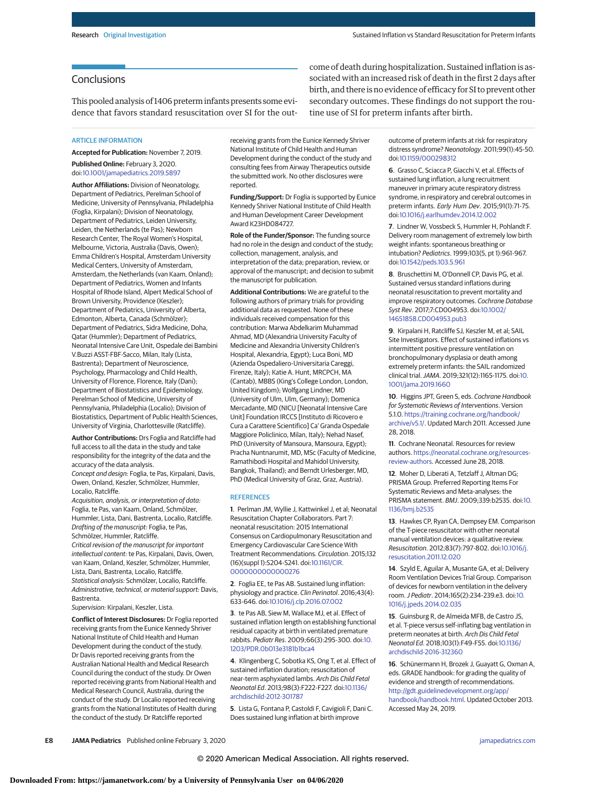# **Conclusions**

This pooled analysis of 1406 preterm infants presents some evidence that favors standard resuscitation over SI for the out-

ARTICLE INFORMATION

**Accepted for Publication:** November 7, 2019.

**Published Online:** February 3, 2020. doi[:10.1001/jamapediatrics.2019.5897](https://jamanetwork.com/journals/jama/fullarticle/10.1001/jamapediatrics.2019.5897?utm_campaign=articlePDF%26utm_medium=articlePDFlink%26utm_source=articlePDF%26utm_content=jamapediatrics.2019.5897)

**Author Affiliations:** Division of Neonatology, Department of Pediatrics, Perelman School of Medicine, University of Pennsylvania, Philadelphia (Foglia, Kirpalani); Division of Neonatology, Department of Pediatrics, Leiden University, Leiden, the Netherlands (te Pas); Newborn Research Center, The Royal Women's Hospital, Melbourne, Victoria, Australia (Davis, Owen); Emma Children's Hospital, Amsterdam University Medical Centers, University of Amsterdam, Amsterdam, the Netherlands (van Kaam, Onland); Department of Pediatrics, Women and Infants Hospital of Rhode Island, Alpert Medical School of Brown University, Providence (Keszler); Department of Pediatrics, University of Alberta, Edmonton, Alberta, Canada (Schmölzer); Department of Pediatrics, Sidra Medicine, Doha, Qatar (Hummler); Department of Pediatrics, Neonatal Intensive Care Unit, Ospedale dei Bambini V.Buzzi ASST-FBF-Sacco, Milan, Italy (Lista, Bastrenta); Department of Neuroscience, Psychology, Pharmacology and Child Health, University of Florence, Florence, Italy (Dani); Department of Biostatistics and Epidemiology, Perelman School of Medicine, University of Pennsylvania, Philadelphia (Localio); Division of Biostatistics, Department of Public Health Sciences, University of Virginia, Charlottesville (Ratcliffe).

**Author Contributions:** Drs Foglia and Ratcliffe had full access to all the data in the study and take responsibility for the integrity of the data and the accuracy of the data analysis. Concept and design: Foglia, te Pas, Kirpalani, Davis, Owen, Onland, Keszler, Schmölzer, Hummler, Localio, Ratcliffe.

Acquisition, analysis, or interpretation of data: Foglia, te Pas, van Kaam, Onland, Schmölzer, Hummler, Lista, Dani, Bastrenta, Localio, Ratcliffe. Drafting of the manuscript: Foglia, te Pas, Schmölzer, Hummler, Ratcliffe.

Critical revision of the manuscript for important intellectual content: te Pas, Kirpalani, Davis, Owen, van Kaam, Onland, Keszler, Schmölzer, Hummler, Lista, Dani, Bastrenta, Localio, Ratcliffe. Statistical analysis: Schmölzer, Localio, Ratcliffe. Administrative, technical, or material support: Davis, Bastrenta.

Supervision: Kirpalani, Keszler, Lista.

**Conflict of Interest Disclosures:** Dr Foglia reported receiving grants from the Eunice Kennedy Shriver National Institute of Child Health and Human Development during the conduct of the study. Dr Davis reported receiving grants from the Australian National Health and Medical Research Council during the conduct of the study. Dr Owen reported receiving grants from National Health and Medical Research Council, Australia, during the conduct of the study. Dr Localio reported receiving grants from the National Institutes of Health during the conduct of the study. Dr Ratcliffe reported

receiving grants from the Eunice Kennedy Shriver National Institute of Child Health and Human Development during the conduct of the study and consulting fees from Airway Therapeutics outside the submitted work. No other disclosures were reported.

**Funding/Support:** Dr Foglia is supported by Eunice Kennedy Shriver National Institute of Child Health and Human Development Career Development Award K23HD084727.

**Role of the Funder/Sponsor:** The funding source had no role in the design and conduct of the study; collection, management, analysis, and interpretation of the data; preparation, review, or approval of the manuscript; and decision to submit the manuscript for publication.

**Additional Contributions:** We are grateful to the following authors of primary trials for providing additional data as requested. None of these individuals received compensation for this contribution: Marwa Abdelkarim Muhammad Ahmad, MD (Alexandria University Faculty of Medicine and Alexandria University Children's Hospital, Alexandria, Egypt); Luca Boni, MD (Azienda Ospedaliero-Universitaria Careggi, Firenze, Italy); Katie A. Hunt, MRCPCH, MA (Cantab), MBBS (King's College London, London, United Kingdom); Wolfgang Lindner, MD (University of Ulm, Ulm, Germany); Domenica Mercadante, MD (NICU [Neonatal Intensive Care Unit] Foundation IRCCS [Instituto di Ricovero e Cura a Carattere Scientifico] Ca' Granda Ospedale Maggiore Policlinico, Milan, Italy); Nehad Nasef, PhD (University of Mansoura, Mansoura, Egypt); Pracha Nuntnarumit, MD, MSc (Faculty of Medicine, Ramathibodi Hospital and Mahidol University, Bangkok, Thailand); and Berndt Urlesberger, MD, PhD (Medical University of Graz, Graz, Austria).

#### REFERENCES

**1**. Perlman JM, Wyllie J, Kattwinkel J, et al; Neonatal Resuscitation Chapter Collaborators. Part 7: neonatal resuscitation: 2015 International Consensus on Cardiopulmonary Resuscitation and Emergency Cardiovascular Care Science With Treatment Recommendations. Circulation. 2015;132 (16)(suppl 1):S204-S241. doi[:10.1161/CIR.](https://dx.doi.org/10.1161/CIR.0000000000000276) [0000000000000276](https://dx.doi.org/10.1161/CIR.0000000000000276)

**2**. Foglia EE, te Pas AB. Sustained lung inflation: physiology and practice. Clin Perinatol. 2016;43(4): 633-646. doi[:10.1016/j.clp.2016.07.002](https://dx.doi.org/10.1016/j.clp.2016.07.002)

**3**. te Pas AB, Siew M, Wallace MJ, et al. Effect of sustained inflation length on establishing functional residual capacity at birth in ventilated premature rabbits. Pediatr Res. 2009;66(3):295-300. doi[:10.](https://dx.doi.org/10.1203/PDR.0b013e3181b1bca4) [1203/PDR.0b013e3181b1bca4](https://dx.doi.org/10.1203/PDR.0b013e3181b1bca4)

**4**. Klingenberg C, Sobotka KS, Ong T, et al. Effect of sustained inflation duration; resuscitation of near-term asphyxiated lambs. Arch Dis Child Fetal Neonatal Ed. 2013;98(3):F222-F227. doi[:10.1136/](https://dx.doi.org/10.1136/archdischild-2012-301787) [archdischild-2012-301787](https://dx.doi.org/10.1136/archdischild-2012-301787)

**5**. Lista G, Fontana P, Castoldi F, Cavigioli F, Dani C. Does sustained lung inflation at birth improve

come of death during hospitalization. Sustained inflation is associated with an increased risk of death in the first 2 days after birth, and there is no evidence of efficacy for SI to prevent other secondary outcomes. These findings do not support the routine use of SI for preterm infants after birth.

> outcome of preterm infants at risk for respiratory distress syndrome? Neonatology. 2011;99(1):45-50. doi[:10.1159/000298312](https://dx.doi.org/10.1159/000298312)

**6**. Grasso C, Sciacca P, Giacchi V, et al. Effects of sustained lung inflation, a lung recruitment maneuver in primary acute respiratory distress syndrome, in respiratory and cerebral outcomes in preterm infants. Early Hum Dev. 2015;91(1):71-75. doi[:10.1016/j.earlhumdev.2014.12.002](https://dx.doi.org/10.1016/j.earlhumdev.2014.12.002)

**7**. Lindner W, Vossbeck S, Hummler H, Pohlandt F. Delivery room management of extremely low birth weight infants: spontaneous breathing or intubation? Pediatrics. 1999;103(5, pt 1):961-967. doi[:10.1542/peds.103.5.961](https://dx.doi.org/10.1542/peds.103.5.961)

**8**. Bruschettini M, O'Donnell CP, Davis PG, et al. Sustained versus standard inflations during neonatal resuscitation to prevent mortality and improve respiratory outcomes. Cochrane Database Syst Rev. 2017;7:CD004953. doi[:10.1002/](https://dx.doi.org/10.1002/14651858.CD004953.pub3) [14651858.CD004953.pub3](https://dx.doi.org/10.1002/14651858.CD004953.pub3)

**9**. Kirpalani H, Ratcliffe SJ, Keszler M, et al; SAIL Site Investigators. Effect of sustained inflations vs intermittent positive pressure ventilation on bronchopulmonary dysplasia or death among extremely preterm infants: the SAIL randomized clinical trial.JAMA. 2019;321(12):1165-1175. doi[:10.](https://jamanetwork.com/journals/jama/fullarticle/10.1001/jama.2019.1660?utm_campaign=articlePDF%26utm_medium=articlePDFlink%26utm_source=articlePDF%26utm_content=jamapediatrics.2019.5897) [1001/jama.2019.1660](https://jamanetwork.com/journals/jama/fullarticle/10.1001/jama.2019.1660?utm_campaign=articlePDF%26utm_medium=articlePDFlink%26utm_source=articlePDF%26utm_content=jamapediatrics.2019.5897)

**10**. Higgins JPT, Green S, eds. Cochrane Handbook for Systematic Reviews of Interventions. Version 5.1.0. [https://training.cochrane.org/handbook/](https://training.cochrane.org/handbook/archive/v5.1/) [archive/v5.1/.](https://training.cochrane.org/handbook/archive/v5.1/) Updated March 2011. Accessed June 28, 2018.

**11**. Cochrane Neonatal. Resources for review authors. [https://neonatal.cochrane.org/resources](https://neonatal.cochrane.org/resources-review-authors)[review-authors.](https://neonatal.cochrane.org/resources-review-authors) Accessed June 28, 2018.

**12**. Moher D, Liberati A, Tetzlaff J, Altman DG; PRISMA Group. Preferred Reporting Items For Systematic Reviews and Meta-analyses: the PRISMA statement. BMJ. 2009;339:b2535. doi[:10.](https://dx.doi.org/10.1136/bmj.b2535) [1136/bmj.b2535](https://dx.doi.org/10.1136/bmj.b2535)

**13**. Hawkes CP, Ryan CA, Dempsey EM. Comparison of the T-piece resuscitator with other neonatal manual ventilation devices: a qualitative review. Resuscitation. 2012;83(7):797-802. doi[:10.1016/j.](https://dx.doi.org/10.1016/j.resuscitation.2011.12.020) [resuscitation.2011.12.020](https://dx.doi.org/10.1016/j.resuscitation.2011.12.020)

**14**. Szyld E, Aguilar A, Musante GA, et al; Delivery Room Ventilation Devices Trial Group. Comparison of devices for newborn ventilation in the delivery room.J Pediatr. 2014;165(2):234-239.e3. doi[:10.](https://dx.doi.org/10.1016/j.jpeds.2014.02.035) [1016/j.jpeds.2014.02.035](https://dx.doi.org/10.1016/j.jpeds.2014.02.035)

**15**. Guinsburg R, de Almeida MFB, de Castro JS, et al. T-piece versus self-inflating bag ventilation in preterm neonates at birth. Arch Dis Child Fetal Neonatal Ed. 2018;103(1):F49-F55. doi[:10.1136/](https://dx.doi.org/10.1136/archdischild-2016-312360) [archdischild-2016-312360](https://dx.doi.org/10.1136/archdischild-2016-312360)

**16**. Schünermann H, Brozek J, Guayatt G, Oxman A, eds. GRADE handbook: for grading the quality of evidence and strength of recommendations. [http://gdt.guidelinedevelopment.org/app/](http://gdt.guidelinedevelopment.org/app/handbook/handbook.html) [handbook/handbook.html.](http://gdt.guidelinedevelopment.org/app/handbook/handbook.html) Updated October 2013. Accessed May 24, 2019.